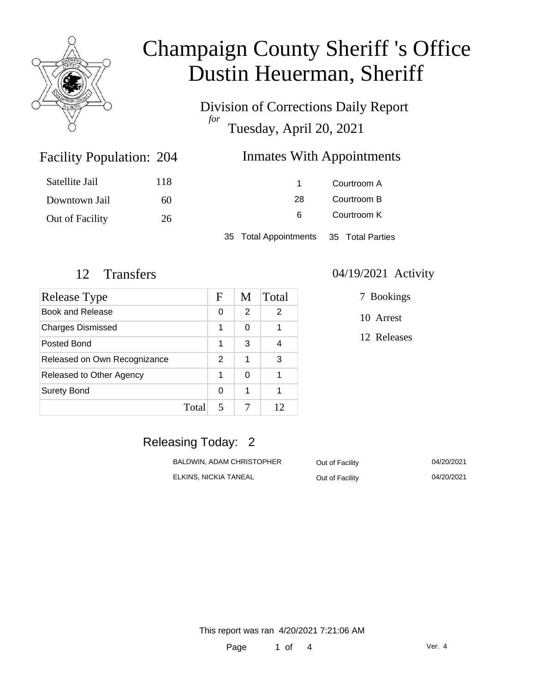

Division of Corrections Daily Report *for* Tuesday, April 20, 2021

### Inmates With Appointments

| Satellite Jail  | 118 |                       | Courtroom A      |
|-----------------|-----|-----------------------|------------------|
| Downtown Jail   | 60  | 28                    | Courtroom B      |
| Out of Facility | 26  | 6                     | Courtroom K      |
|                 |     | 35 Total Appointments | 35 Total Parties |

Facility Population:

| Release Type                 |       | F | M | Total |
|------------------------------|-------|---|---|-------|
| Book and Release             |       | 0 | 2 | 2     |
| <b>Charges Dismissed</b>     |       | 1 | 0 |       |
| Posted Bond                  |       | 1 | 3 |       |
| Released on Own Recognizance |       | 2 | 1 | 3     |
| Released to Other Agency     |       | 1 | 0 | 1     |
| <b>Surety Bond</b>           |       | 0 | 1 |       |
|                              | Total | 5 |   | 12    |

#### 12 Transfers 04/19/2021 Activity

7 Bookings

10 Arrest

12 Releases

## Releasing Today: 2

| BALDWIN. ADAM CHRISTOPHER | Out of Facility | 04/20/2021 |
|---------------------------|-----------------|------------|
| ELKINS. NICKIA TANEAL     | Out of Facility | 04/20/2021 |

This report was ran 4/20/2021 7:21:06 AM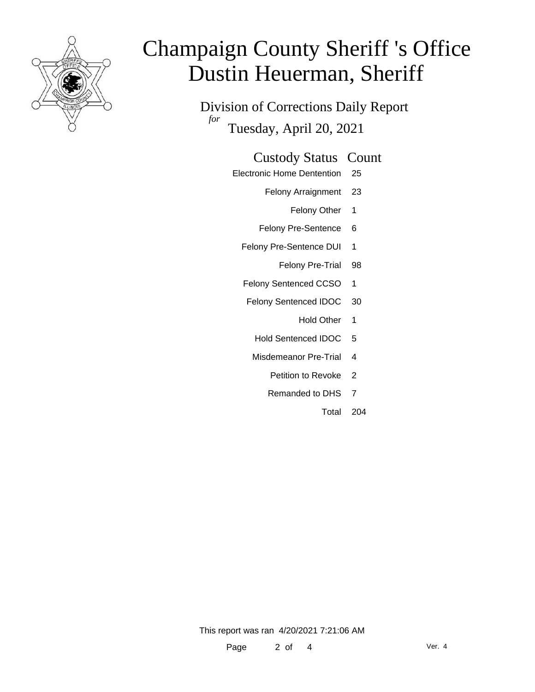

Division of Corrections Daily Report *for* Tuesday, April 20, 2021

### Custody Status Count

- Electronic Home Dentention 25
	- Felony Arraignment 23
		- Felony Other 1
	- Felony Pre-Sentence 6
	- Felony Pre-Sentence DUI 1
		- Felony Pre-Trial 98
	- Felony Sentenced CCSO 1
	- Felony Sentenced IDOC 30
		- Hold Other 1
		- Hold Sentenced IDOC 5
		- Misdemeanor Pre-Trial 4
			- Petition to Revoke 2
			- Remanded to DHS 7
				- Total 204

This report was ran 4/20/2021 7:21:06 AM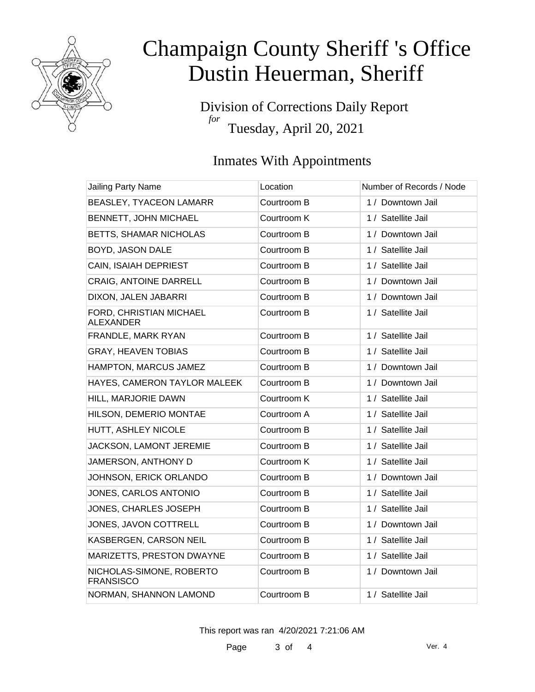

Division of Corrections Daily Report *for* Tuesday, April 20, 2021

## Inmates With Appointments

| <b>Jailing Party Name</b>                    | Location    | Number of Records / Node |
|----------------------------------------------|-------------|--------------------------|
| BEASLEY, TYACEON LAMARR                      | Courtroom B | 1 / Downtown Jail        |
| BENNETT, JOHN MICHAEL                        | Courtroom K | 1 / Satellite Jail       |
| BETTS, SHAMAR NICHOLAS                       | Courtroom B | 1 / Downtown Jail        |
| BOYD, JASON DALE                             | Courtroom B | 1 / Satellite Jail       |
| CAIN, ISAIAH DEPRIEST                        | Courtroom B | 1 / Satellite Jail       |
| <b>CRAIG, ANTOINE DARRELL</b>                | Courtroom B | 1 / Downtown Jail        |
| DIXON, JALEN JABARRI                         | Courtroom B | 1 / Downtown Jail        |
| FORD, CHRISTIAN MICHAEL<br><b>ALEXANDER</b>  | Courtroom B | 1 / Satellite Jail       |
| FRANDLE, MARK RYAN                           | Courtroom B | 1 / Satellite Jail       |
| <b>GRAY, HEAVEN TOBIAS</b>                   | Courtroom B | 1 / Satellite Jail       |
| HAMPTON, MARCUS JAMEZ                        | Courtroom B | 1 / Downtown Jail        |
| HAYES, CAMERON TAYLOR MALEEK                 | Courtroom B | 1 / Downtown Jail        |
| HILL, MARJORIE DAWN                          | Courtroom K | 1 / Satellite Jail       |
| HILSON, DEMERIO MONTAE                       | Courtroom A | 1 / Satellite Jail       |
| HUTT, ASHLEY NICOLE                          | Courtroom B | 1 / Satellite Jail       |
| JACKSON, LAMONT JEREMIE                      | Courtroom B | 1 / Satellite Jail       |
| JAMERSON, ANTHONY D                          | Courtroom K | 1 / Satellite Jail       |
| JOHNSON, ERICK ORLANDO                       | Courtroom B | 1 / Downtown Jail        |
| JONES, CARLOS ANTONIO                        | Courtroom B | 1 / Satellite Jail       |
| JONES, CHARLES JOSEPH                        | Courtroom B | 1 / Satellite Jail       |
| JONES, JAVON COTTRELL                        | Courtroom B | 1 / Downtown Jail        |
| KASBERGEN, CARSON NEIL                       | Courtroom B | 1 / Satellite Jail       |
| MARIZETTS, PRESTON DWAYNE                    | Courtroom B | 1 / Satellite Jail       |
| NICHOLAS-SIMONE, ROBERTO<br><b>FRANSISCO</b> | Courtroom B | 1 / Downtown Jail        |
| NORMAN, SHANNON LAMOND                       | Courtroom B | 1 / Satellite Jail       |

This report was ran 4/20/2021 7:21:06 AM